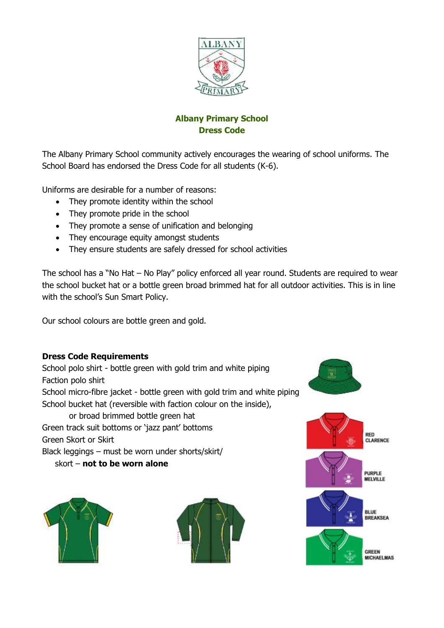

# **Albany Primary School Dress Code**

The Albany Primary School community actively encourages the wearing of school uniforms. The School Board has endorsed the Dress Code for all students (K-6).

Uniforms are desirable for a number of reasons:

- They promote identity within the school
- They promote pride in the school
- They promote a sense of unification and belonging
- They encourage equity amongst students
- They ensure students are safely dressed for school activities

The school has a "No Hat – No Play" policy enforced all year round. Students are required to wear the school bucket hat or a bottle green broad brimmed hat for all outdoor activities. This is in line with the school's Sun Smart Policy.

Our school colours are bottle green and gold.

### **Dress Code Requirements**

School polo shirt - bottle green with gold trim and white piping Faction polo shirt School micro-fibre jacket - bottle green with gold trim and white piping School bucket hat (reversible with faction colour on the inside), or broad brimmed bottle green hat Green track suit bottoms or 'jazz pant' bottoms Green Skort or Skirt

Black leggings – must be worn under shorts/skirt/

skort – **not to be worn alone**